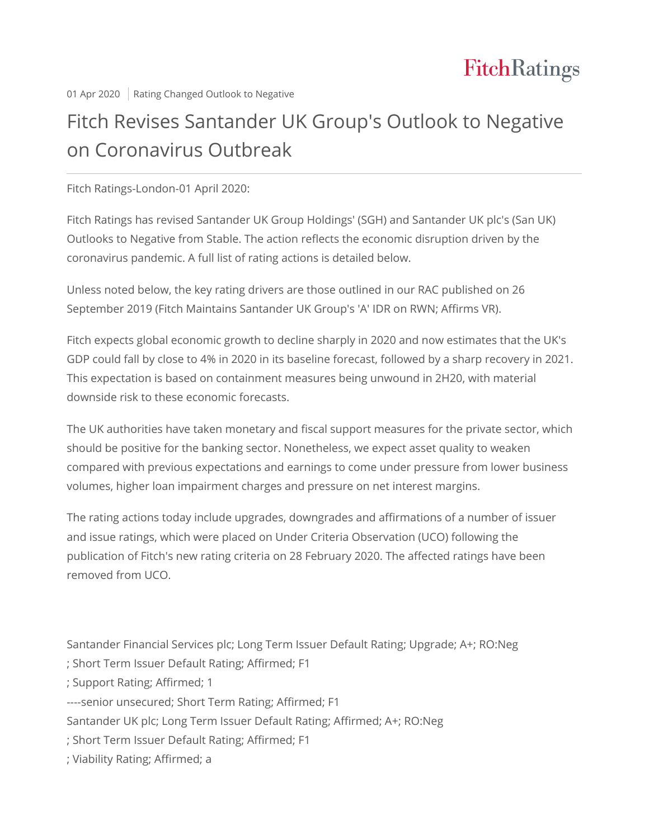# Fitch Revises Santander UK Group's Outlook to Negative on Coronavirus Outbreak

Fitch Ratings-London-01 April 2020:

Fitch Ratings has revised Santander UK Group Holdings' (SGH) and Santander UK plc's (San UK) Outlooks to Negative from Stable. The action reflects the economic disruption driven by the coronavirus pandemic. A full list of rating actions is detailed below.

Unless noted below, the key rating drivers are those outlined in our RAC published on 26 September 2019 (Fitch Maintains Santander UK Group's 'A' IDR on RWN; Affirms VR).

Fitch expects global economic growth to decline sharply in 2020 and now estimates that the UK's GDP could fall by close to 4% in 2020 in its baseline forecast, followed by a sharp recovery in 2021. This expectation is based on containment measures being unwound in 2H20, with material downside risk to these economic forecasts.

The UK authorities have taken monetary and fiscal support measures for the private sector, which should be positive for the banking sector. Nonetheless, we expect asset quality to weaken compared with previous expectations and earnings to come under pressure from lower business volumes, higher loan impairment charges and pressure on net interest margins.

The rating actions today include upgrades, downgrades and affirmations of a number of issuer and issue ratings, which were placed on Under Criteria Observation (UCO) following the publication of Fitch's new rating criteria on 28 February 2020. The affected ratings have been removed from UCO.

Santander Financial Services plc; Long Term Issuer Default Rating; Upgrade; A+; RO:Neg

; Short Term Issuer Default Rating; Affirmed; F1

; Support Rating; Affirmed; 1

----senior unsecured; Short Term Rating; Affirmed; F1

Santander UK plc; Long Term Issuer Default Rating; Affirmed; A+; RO:Neg

; Short Term Issuer Default Rating; Affirmed; F1

; Viability Rating; Affirmed; a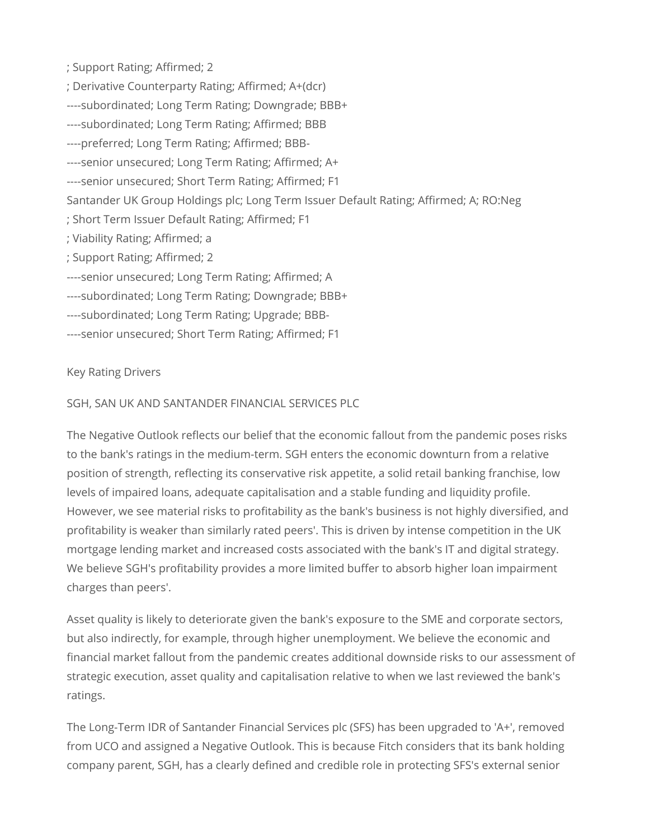; Support Rating; Affirmed; 2 ; Derivative Counterparty Rating; Affirmed; A+(dcr) ----subordinated; Long Term Rating; Downgrade; BBB+ ----subordinated; Long Term Rating; Affirmed; BBB ----preferred; Long Term Rating; Affirmed; BBB- ----senior unsecured; Long Term Rating; Affirmed; A+ ----senior unsecured; Short Term Rating; Affirmed; F1 Santander UK Group Holdings plc; Long Term Issuer Default Rating; Affirmed; A; RO:Neg ; Short Term Issuer Default Rating; Affirmed; F1 ; Viability Rating; Affirmed; a ; Support Rating; Affirmed; 2 ----senior unsecured; Long Term Rating; Affirmed; A ----subordinated; Long Term Rating; Downgrade; BBB+ ----subordinated; Long Term Rating; Upgrade; BBB- ----senior unsecured; Short Term Rating; Affirmed; F1

### Key Rating Drivers

### SGH, SAN UK AND SANTANDER FINANCIAL SERVICES PLC

The Negative Outlook reflects our belief that the economic fallout from the pandemic poses risks to the bank's ratings in the medium-term. SGH enters the economic downturn from a relative position of strength, reflecting its conservative risk appetite, a solid retail banking franchise, low levels of impaired loans, adequate capitalisation and a stable funding and liquidity profile. However, we see material risks to profitability as the bank's business is not highly diversified, and profitability is weaker than similarly rated peers'. This is driven by intense competition in the UK mortgage lending market and increased costs associated with the bank's IT and digital strategy. We believe SGH's profitability provides a more limited buffer to absorb higher loan impairment charges than peers'.

Asset quality is likely to deteriorate given the bank's exposure to the SME and corporate sectors, but also indirectly, for example, through higher unemployment. We believe the economic and financial market fallout from the pandemic creates additional downside risks to our assessment of strategic execution, asset quality and capitalisation relative to when we last reviewed the bank's ratings.

The Long-Term IDR of Santander Financial Services plc (SFS) has been upgraded to 'A+', removed from UCO and assigned a Negative Outlook. This is because Fitch considers that its bank holding company parent, SGH, has a clearly defined and credible role in protecting SFS's external senior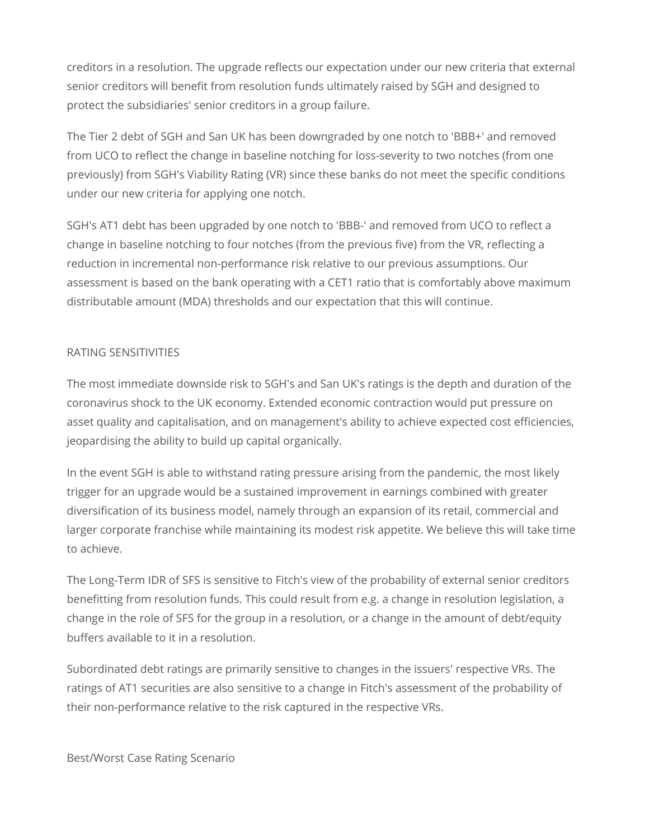creditors in a resolution. The upgrade reflects our expectation under our new criteria that external senior creditors will benefit from resolution funds ultimately raised by SGH and designed to protect the subsidiaries' senior creditors in a group failure.

The Tier 2 debt of SGH and San UK has been downgraded by one notch to 'BBB+' and removed from UCO to reflect the change in baseline notching for loss-severity to two notches (from one previously) from SGH's Viability Rating (VR) since these banks do not meet the specific conditions under our new criteria for applying one notch.

SGH's AT1 debt has been upgraded by one notch to 'BBB-' and removed from UCO to reflect a change in baseline notching to four notches (from the previous five) from the VR, reflecting a reduction in incremental non-performance risk relative to our previous assumptions. Our assessment is based on the bank operating with a CET1 ratio that is comfortably above maximum distributable amount (MDA) thresholds and our expectation that this will continue.

### RATING SENSITIVITIES

The most immediate downside risk to SGH's and San UK's ratings is the depth and duration of the coronavirus shock to the UK economy. Extended economic contraction would put pressure on asset quality and capitalisation, and on management's ability to achieve expected cost efficiencies, jeopardising the ability to build up capital organically.

In the event SGH is able to withstand rating pressure arising from the pandemic, the most likely trigger for an upgrade would be a sustained improvement in earnings combined with greater diversification of its business model, namely through an expansion of its retail, commercial and larger corporate franchise while maintaining its modest risk appetite. We believe this will take time to achieve.

The Long-Term IDR of SFS is sensitive to Fitch's view of the probability of external senior creditors benefitting from resolution funds. This could result from e.g. a change in resolution legislation, a change in the role of SFS for the group in a resolution, or a change in the amount of debt/equity buffers available to it in a resolution.

Subordinated debt ratings are primarily sensitive to changes in the issuers' respective VRs. The ratings of AT1 securities are also sensitive to a change in Fitch's assessment of the probability of their non-performance relative to the risk captured in the respective VRs.

Best/Worst Case Rating Scenario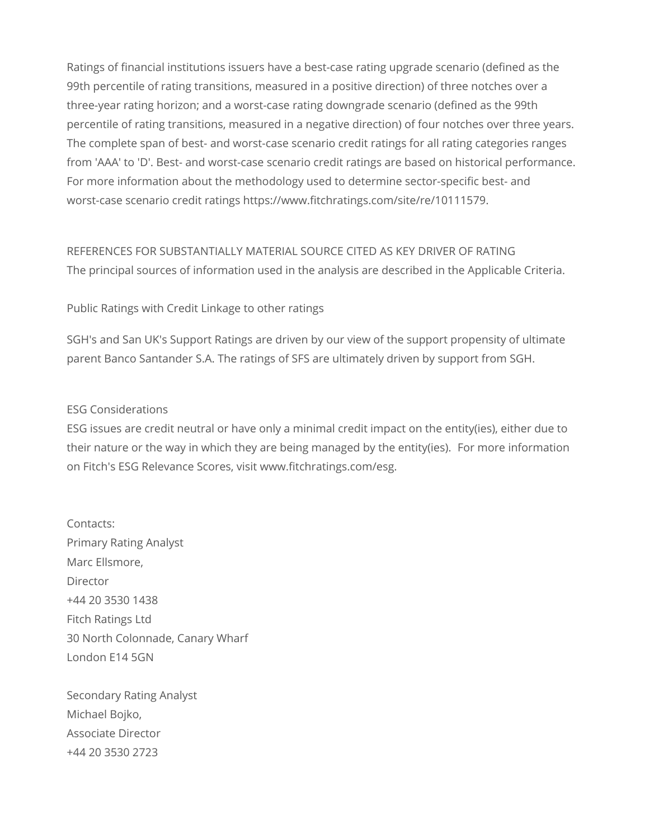Ratings of financial institutions issuers have a best-case rating upgrade scenario (defined as the 99th percentile of rating transitions, measured in a positive direction) of three notches over a three-year rating horizon; and a worst-case rating downgrade scenario (defined as the 99th percentile of rating transitions, measured in a negative direction) of four notches over three years. The complete span of best- and worst-case scenario credit ratings for all rating categories ranges from 'AAA' to 'D'. Best- and worst-case scenario credit ratings are based on historical performance. For more information about the methodology used to determine sector-specific best- and worst-case scenario credit ratings https://www.fitchratings.com/site/re/10111579.

## REFERENCES FOR SUBSTANTIALLY MATERIAL SOURCE CITED AS KEY DRIVER OF RATING The principal sources of information used in the analysis are described in the Applicable Criteria.

### Public Ratings with Credit Linkage to other ratings

SGH's and San UK's Support Ratings are driven by our view of the support propensity of ultimate parent Banco Santander S.A. The ratings of SFS are ultimately driven by support from SGH.

### ESG Considerations

ESG issues are credit neutral or have only a minimal credit impact on the entity(ies), either due to their nature or the way in which they are being managed by the entity(ies). For more information on Fitch's ESG Relevance Scores, visit www.fitchratings.com/esg.

Contacts: Primary Rating Analyst Marc Ellsmore, Director +44 20 3530 1438 Fitch Ratings Ltd 30 North Colonnade, Canary Wharf London E14 5GN

Secondary Rating Analyst Michael Bojko, Associate Director +44 20 3530 2723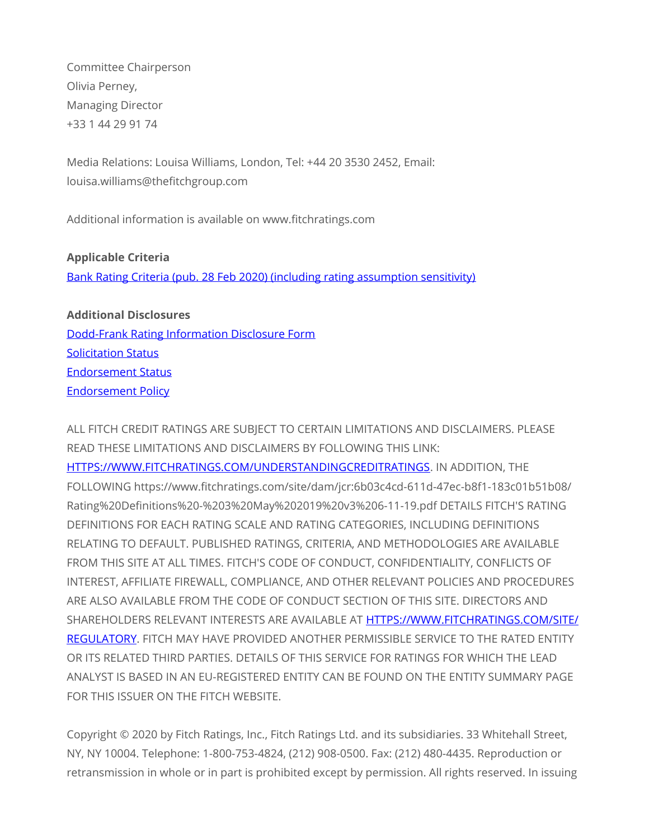Committee Chairperson Olivia Perney, Managing Director +33 1 44 29 91 74

Media Relations: Louisa Williams, London, Tel: +44 20 3530 2452, Email: louisa.williams@thefitchgroup.com

Additional information is available on www.fitchratings.com

### **Applicable Criteria**

[Bank Rating Criteria \(pub. 28 Feb 2020\) \(including rating assumption sensitivity\)](/app.fitchconnect.com/search/research/article/RPT_10110041)

**Additional Disclosures** [Dodd-Frank Rating Information Disclosure Form](https://www.fitchratings.com/site/dodd-frank-disclosure/10116483) [Solicitation Status](https://www.fitchratings.com/site/pr/10116483#solicitation) [Endorsement Status](/app.fitchconnect.com/search/research/article/PR_10116483#endorsement_status) [Endorsement Policy](https://www.fitchratings.com/regulatory)

ALL FITCH CREDIT RATINGS ARE SUBJECT TO CERTAIN LIMITATIONS AND DISCLAIMERS. PLEASE READ THESE LIMITATIONS AND DISCLAIMERS BY FOLLOWING THIS LINK: [HTTPS://WWW.FITCHRATINGS.COM/UNDERSTANDINGCREDITRATINGS.](https://www.fitchratings.com/UNDERSTANDINGCREDITRATINGS) IN ADDITION, THE FOLLOWING https://www.fitchratings.com/site/dam/jcr:6b03c4cd-611d-47ec-b8f1-183c01b51b08/ Rating%20Definitions%20-%203%20May%202019%20v3%206-11-19.pdf DETAILS FITCH'S RATING DEFINITIONS FOR EACH RATING SCALE AND RATING CATEGORIES, INCLUDING DEFINITIONS RELATING TO DEFAULT. PUBLISHED RATINGS, CRITERIA, AND METHODOLOGIES ARE AVAILABLE FROM THIS SITE AT ALL TIMES. FITCH'S CODE OF CONDUCT, CONFIDENTIALITY, CONFLICTS OF INTEREST, AFFILIATE FIREWALL, COMPLIANCE, AND OTHER RELEVANT POLICIES AND PROCEDURES ARE ALSO AVAILABLE FROM THE CODE OF CONDUCT SECTION OF THIS SITE. DIRECTORS AND SHAREHOLDERS RELEVANT INTERESTS ARE AVAILABLE AT [HTTPS://WWW.FITCHRATINGS.COM/SITE/](https://www.fitchratings.com/site/regulatory) [REGULATORY](https://www.fitchratings.com/site/regulatory). FITCH MAY HAVE PROVIDED ANOTHER PERMISSIBLE SERVICE TO THE RATED ENTITY OR ITS RELATED THIRD PARTIES. DETAILS OF THIS SERVICE FOR RATINGS FOR WHICH THE LEAD ANALYST IS BASED IN AN EU-REGISTERED ENTITY CAN BE FOUND ON THE ENTITY SUMMARY PAGE FOR THIS ISSUER ON THE FITCH WEBSITE.

Copyright © 2020 by Fitch Ratings, Inc., Fitch Ratings Ltd. and its subsidiaries. 33 Whitehall Street, NY, NY 10004. Telephone: 1-800-753-4824, (212) 908-0500. Fax: (212) 480-4435. Reproduction or retransmission in whole or in part is prohibited except by permission. All rights reserved. In issuing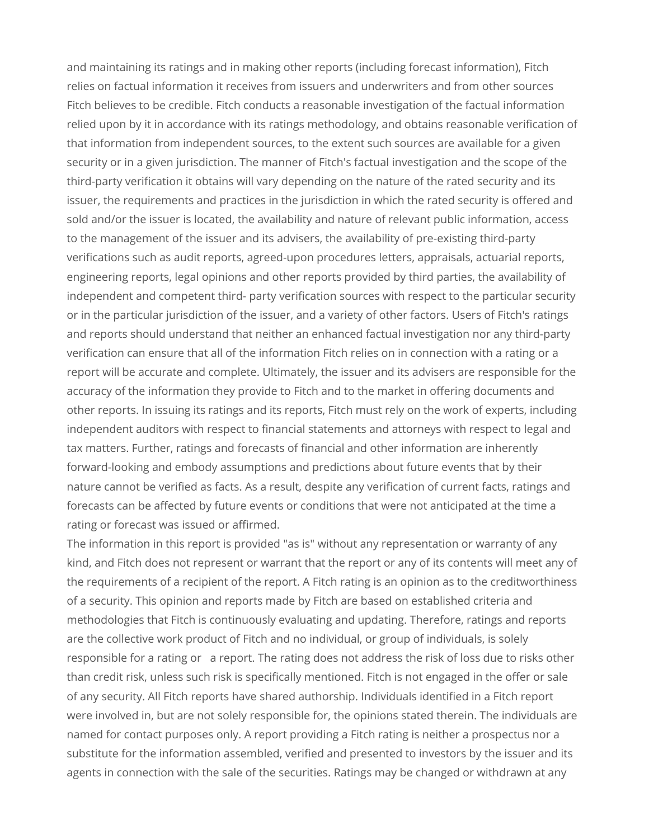and maintaining its ratings and in making other reports (including forecast information), Fitch relies on factual information it receives from issuers and underwriters and from other sources Fitch believes to be credible. Fitch conducts a reasonable investigation of the factual information relied upon by it in accordance with its ratings methodology, and obtains reasonable verification of that information from independent sources, to the extent such sources are available for a given security or in a given jurisdiction. The manner of Fitch's factual investigation and the scope of the third-party verification it obtains will vary depending on the nature of the rated security and its issuer, the requirements and practices in the jurisdiction in which the rated security is offered and sold and/or the issuer is located, the availability and nature of relevant public information, access to the management of the issuer and its advisers, the availability of pre-existing third-party verifications such as audit reports, agreed-upon procedures letters, appraisals, actuarial reports, engineering reports, legal opinions and other reports provided by third parties, the availability of independent and competent third- party verification sources with respect to the particular security or in the particular jurisdiction of the issuer, and a variety of other factors. Users of Fitch's ratings and reports should understand that neither an enhanced factual investigation nor any third-party verification can ensure that all of the information Fitch relies on in connection with a rating or a report will be accurate and complete. Ultimately, the issuer and its advisers are responsible for the accuracy of the information they provide to Fitch and to the market in offering documents and other reports. In issuing its ratings and its reports, Fitch must rely on the work of experts, including independent auditors with respect to financial statements and attorneys with respect to legal and tax matters. Further, ratings and forecasts of financial and other information are inherently forward-looking and embody assumptions and predictions about future events that by their nature cannot be verified as facts. As a result, despite any verification of current facts, ratings and forecasts can be affected by future events or conditions that were not anticipated at the time a rating or forecast was issued or affirmed.

The information in this report is provided "as is" without any representation or warranty of any kind, and Fitch does not represent or warrant that the report or any of its contents will meet any of the requirements of a recipient of the report. A Fitch rating is an opinion as to the creditworthiness of a security. This opinion and reports made by Fitch are based on established criteria and methodologies that Fitch is continuously evaluating and updating. Therefore, ratings and reports are the collective work product of Fitch and no individual, or group of individuals, is solely responsible for a rating or a report. The rating does not address the risk of loss due to risks other than credit risk, unless such risk is specifically mentioned. Fitch is not engaged in the offer or sale of any security. All Fitch reports have shared authorship. Individuals identified in a Fitch report were involved in, but are not solely responsible for, the opinions stated therein. The individuals are named for contact purposes only. A report providing a Fitch rating is neither a prospectus nor a substitute for the information assembled, verified and presented to investors by the issuer and its agents in connection with the sale of the securities. Ratings may be changed or withdrawn at any